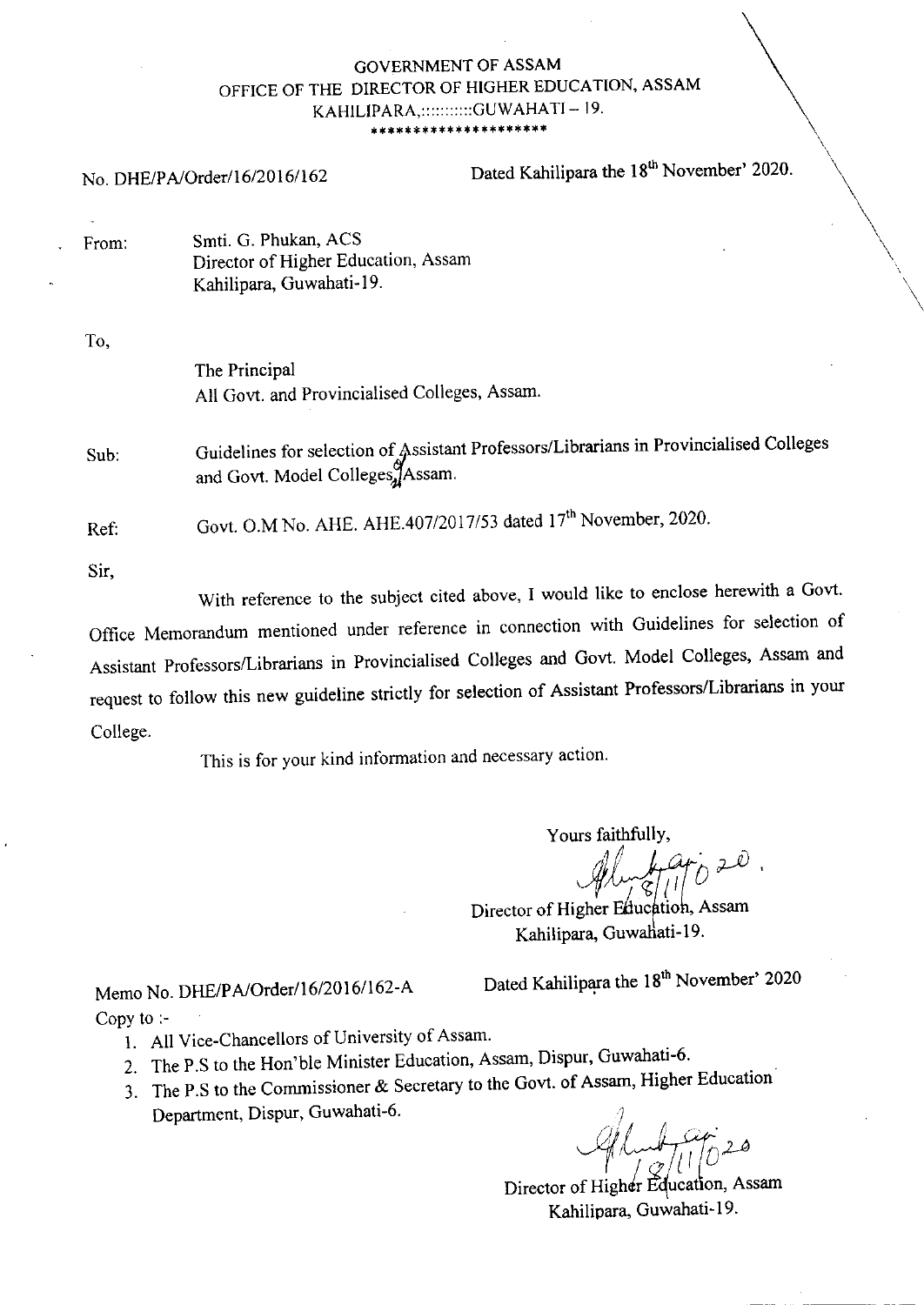#### **GOVERNMENT OF ASSAM** OFFICE OF THE DIRECTOR OF HIGHER EDUCATION, ASSAM KAHILIPARA, :::::::::::GUWAHATI - 19. \*\*\*\*\*\*\*\*\*\*\*\*\*

Dated Kahilipara the 18<sup>th</sup> November' 2020. No. DHE/PA/Order/16/2016/162

Smti. G. Phukan, ACS From: Director of Higher Education, Assam Kahilipara, Guwahati-19.

 $T_{\Omega}$ 

| 10,  |                                                                                                                         |
|------|-------------------------------------------------------------------------------------------------------------------------|
|      | The Principal<br>All Govt. and Provincialised Colleges, Assam.                                                          |
| Sub: | Guidelines for selection of Assistant Professors/Librarians in Provincialised Colleges and Govt. Model Colleges, Assam. |
| Ref: | Govt. O.M No. AHE. AHE.407/2017/53 dated 17 <sup>th</sup> November, 2020.                                               |
| Sir, | With reference to the subject cited above. I would like to enclose herewith a Govt.                                     |

With reference to the subject cited above, I would like Office Memorandum mentioned under reference in connection with Guidelines for selection of Assistant Professors/Librarians in Provincialised Colleges and Govt. Model Colleges, Assam and request to follow this new guideline strictly for selection of Assistant Professors/Librarians in your College.

This is for your kind information and necessary action.

Yours faithfully,

Director of Higher Education, Assam Kahilipara, Guwahati-19.

Memo No. DHE/PA/Order/16/2016/162-A Copy to  $\therefore$ 

Dated Kahilipara the 18<sup>th</sup> November' 2020

- 1. All Vice-Chancellors of University of Assam.
- 2. The P.S to the Hon'ble Minister Education, Assam, Dispur, Guwahati-6.
- 3. The P.S to the Commissioner & Secretary to the Govt. of Assam, Higher Education Department, Dispur, Guwahati-6.

Director of Higher Education, Assam Kahilipara, Guwahati-19.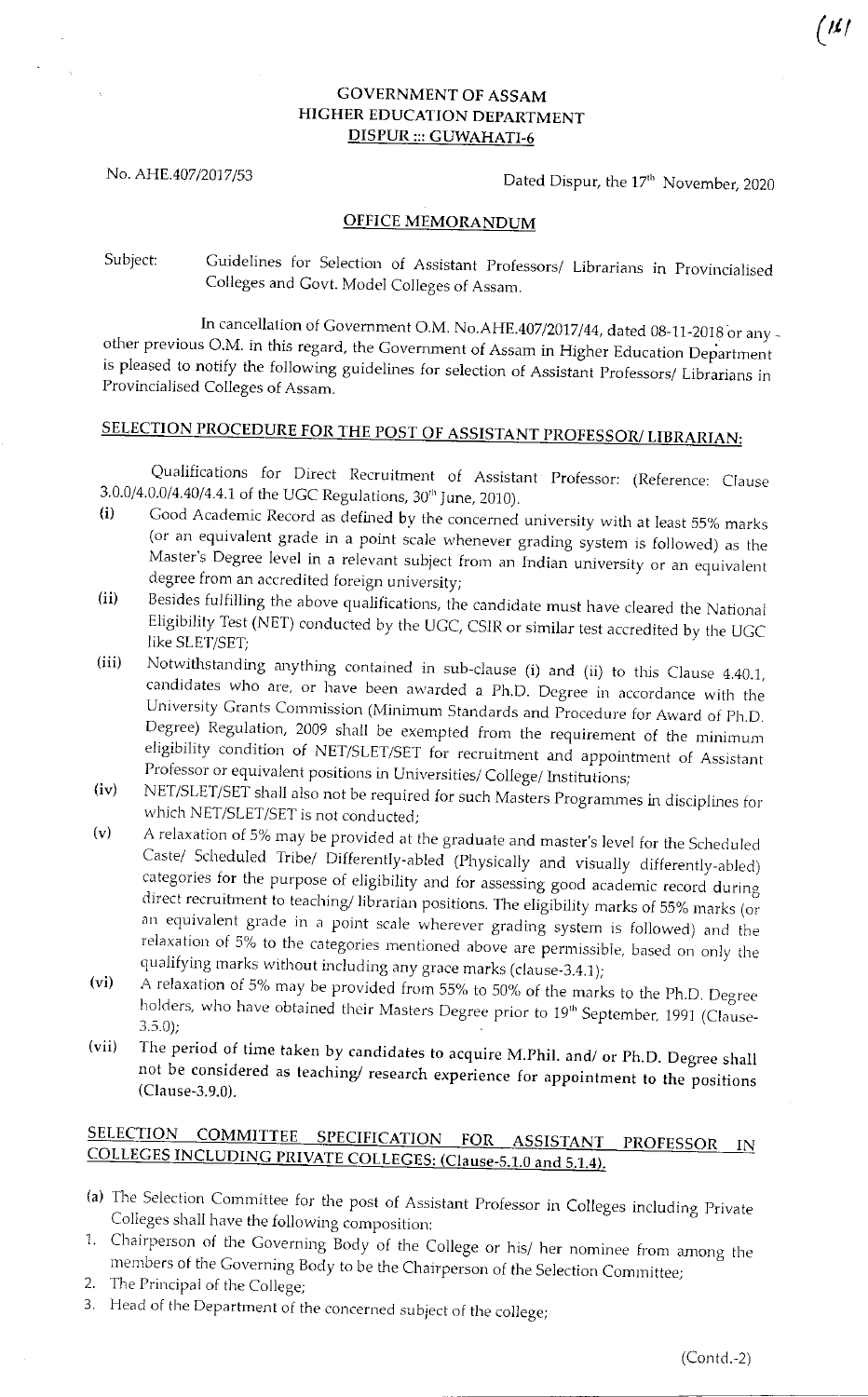## GOVERNMENT OF ASSAM HICHER EDUCATION DEPARTMENT DISPUR::: GUWAHATI-5

No. AHE.407/2017/53 Dated Dispur, the 17<sup>th</sup> November, 2020

### OFFICE MEMORANDUM

Subject: Guidelines for Selection of Assistant Professors/ Librarians in Provincialised Colleges and Govt. Model Colleges of Assam.

In cancellation of Government O.M. No.AHE.407/2017/44, dated 08-11-2018 or any other previous O.M. in this regard, the Government of Assam in Higher Education Department is pleased to notify the following guidelines for selection of Assistant Professors/ Librarians in Provincialised Colleges of Assam.

# SELECTION PROCEDURE FOR THE POST OF ASSISTANT PROFESSOR/ LIBRARIAN:

Qualifications for Direct Recruitment of Assistant Professor: (Reference: Clause  $3.0.0/4.0.0/4.40/4.4.1$  of the UGC Regulations,  $30<sup>th</sup>$  June, 2010).<br>
(i) Good Academic Record as defined by the concerned university with at least 55% marks

- (i) (or an equivalent grade in a point scale whenever grading system is followed) as the Master's Degree level in a relevant subject from an Indian university or an equivalent degree from an accredited foreign university;
- (ii) Besides fulfilling the above qualifications, the candidate must have cleared the National Eligibility Test (NET) conducted by the UGC, CSIR or similar test accredited by the UGC<br>like SLET/SET;<br>Notwithstanding anything contained in sub-clause (i) and (ii) to this Clause 4.40.1,
- (iii) candidates who are, or have been awarded a Ph.D. Degree in accordance with the University Grants Commission (Minimum Standards and Procedure for Award of Ph.D. Degree) Regulation, 2009 shall be exempted from the requiremen eligibility condition of NET/SLET/SET for recruitment and appointment of Assistant<br>Professor or equivalent positions in Universities/ College/ Institutions;
- (iv) NET/SLET/SET shall also not be required for such Masters Programmes in disciplines for<br>which NET/SLET/SET is not conducted;<br>A relaxation of 5% may be provided at the graduate and master's level for the Scheduled
- (v) Caste/ Scheduled Tribe/ Differently-abled (Physically and visually differently-abled) categories for the purpose of eligibility and for assessing good academic record during categories for the purpose of eligibility and for assessing good academic record during<br>direct recruitment to teaching/librarian positions. The eligibility marks of 55% marks (or<br>an equivalent grade in a point scale wherev g system is relaxation of 5% to the categories mentioned above are permissible, based on only the qualifying marks without including any grace marks (clause-3.4.1);<br>A relaxation of 5% may be provided from 55% to 50% of the marks to t
- (vi) holders, who have obtained their Masters Degree prior to 19<sup>th</sup> September, 1991 (Clause-3.5.0);
- (vii) The period of time taken by candidates to acquire M.Phil. and/ or Ph.D. Degree shall not be considered as teaching/ research experience for appointment to the positions (Clause-3.9.0).

# SELECTION COMMITTEE SPECIFICATION FOR ASSISTANT PROFESSOR IN<br>COLLEGES INCLUDING PRIVATE COLLEGES: (Clause-5.1.0 and 5.1.4).

- (a) The Selection Committee for the post of Assistant Professor in Colleges including Private Colleges shall have the following composition:
- 1. Chairperson of the Governing Body of the College or his/ her nominee from among the members of the Governing Body to be the Chairperson of the Selection Committee;
- 2. The Principal of the College;
- 3. Head of the Department of the concerned subject of the college;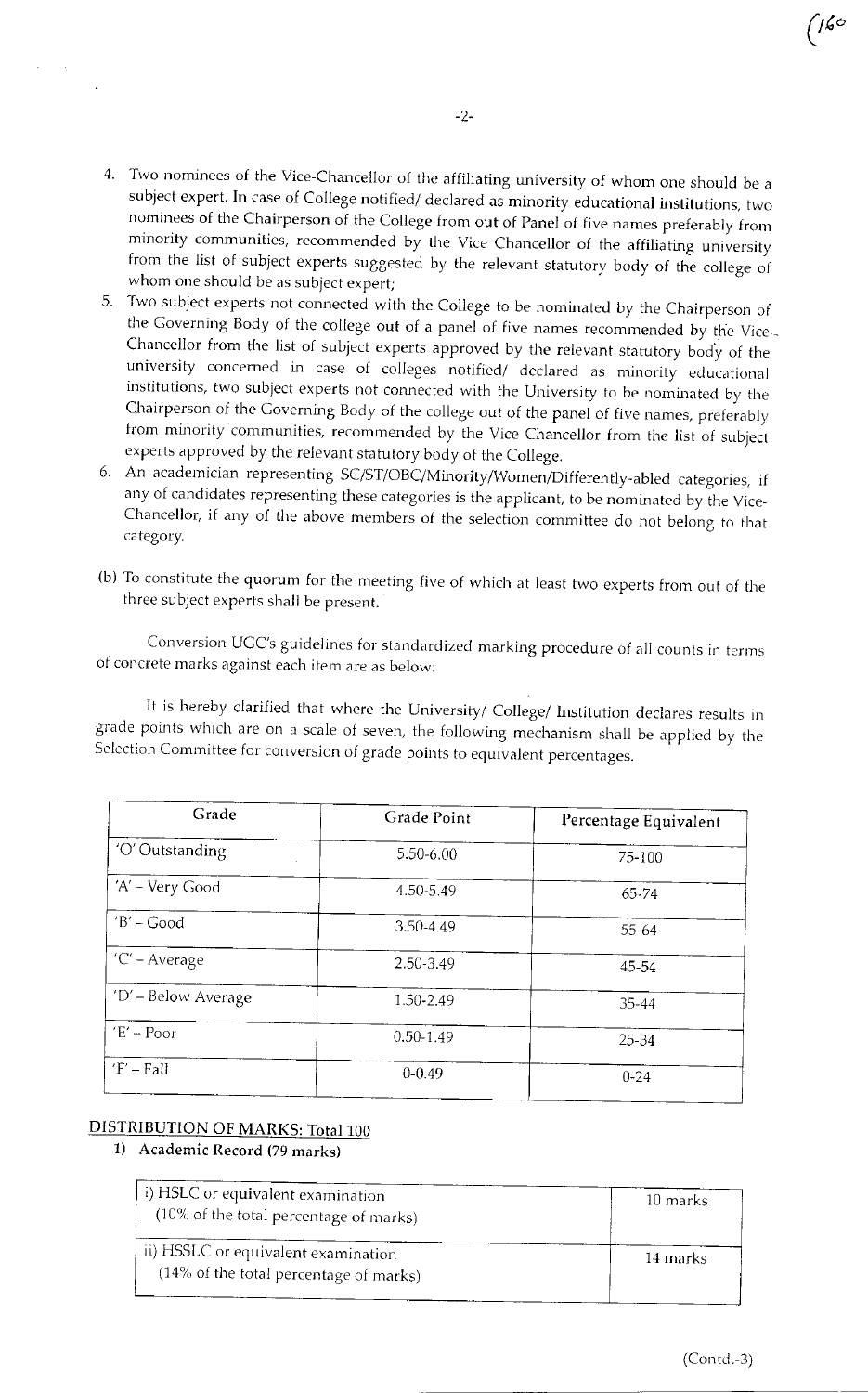- 4. Two nominees of the Vice-Chancellor of the affiliating university of whom one should be a subject expert. In case of College notified/ declared as minority educational institutions, two nominees of the Chairperson of the College from out of Panel of five names preferably from minority communities, recommended by the Vice Chancellor of the affiliating university from the list of subject experts suggested by the relevant statutory body of the college of whom one should be as subject expert;
- whom one should be as subject expert;<br>5. Two subject experts not connected with the College to be nominated by the Chairperson of the Governing Body of the college out of a panel of five names recommended by the Vice --Chancellor from the list of subject experts approved by the relevant statutory body of the university concerned in case of colleges notified/ declared as minority educational institutions, two subject experts not connected with the University to be nominated by the Chairperson of the Governing Body of the college out of the panel of five names, preferably from minority communities, recommended by the Vice Chancellor from the list of subject experts approved by the relevant statutory body of the College.
- 6. An academician representing SC/ST/OBC/Minority/Women/Differently-abled categories, if any of candidates representing these categories is the applicant, to be nominated by the Vice-Chancellor, if any of the above members of the selection committee do not belong to that category.
- (b) To constitute the quorum for the meeting five of which at least two experts from out of the three subject experts shall be present.

Conversion UGC's guidelines for standardized marking procedure of all counts in terms of concrete marks against each item are as below:

It is hereby clarified that where the University/ College/ Institution declares results in grade points which are on a scale of seven, the following mechanism shall be applied by the Selection Committee for conversion of grade points to equivalent percentages.

| Grade               | Grade Point   | Percentage Equivalent |
|---------------------|---------------|-----------------------|
| 'O' Outstanding     | 5.50-6.00     | 75-100                |
| 'A' - Very Good     | 4.50-5.49     | 65-74                 |
| $B'$ – Good         | 3.50-4.49     | $55 - 64$             |
| $C - Average$       | 2.50-3.49     | 45-54                 |
| 'D' - Below Average | 1.50-2.49     | 35-44                 |
| $E' - Poor$         | $0.50 - 1.49$ | 25-34                 |
| $F - Fall$          | $0 - 0.49$    | $0 - 24$              |

## DISTRIBUTION OF MARKS: Total 100

### 1) Academic Record (79 marks)

| i) HSLC or equivalent examination<br>$(10\% \text{ of the total percentage of marks})$ | 10 marks |
|----------------------------------------------------------------------------------------|----------|
| ii) HSSLC or equivalent examination<br>(14% of the total percentage of marks)          | 14 marks |

 $\frac{1}{6}$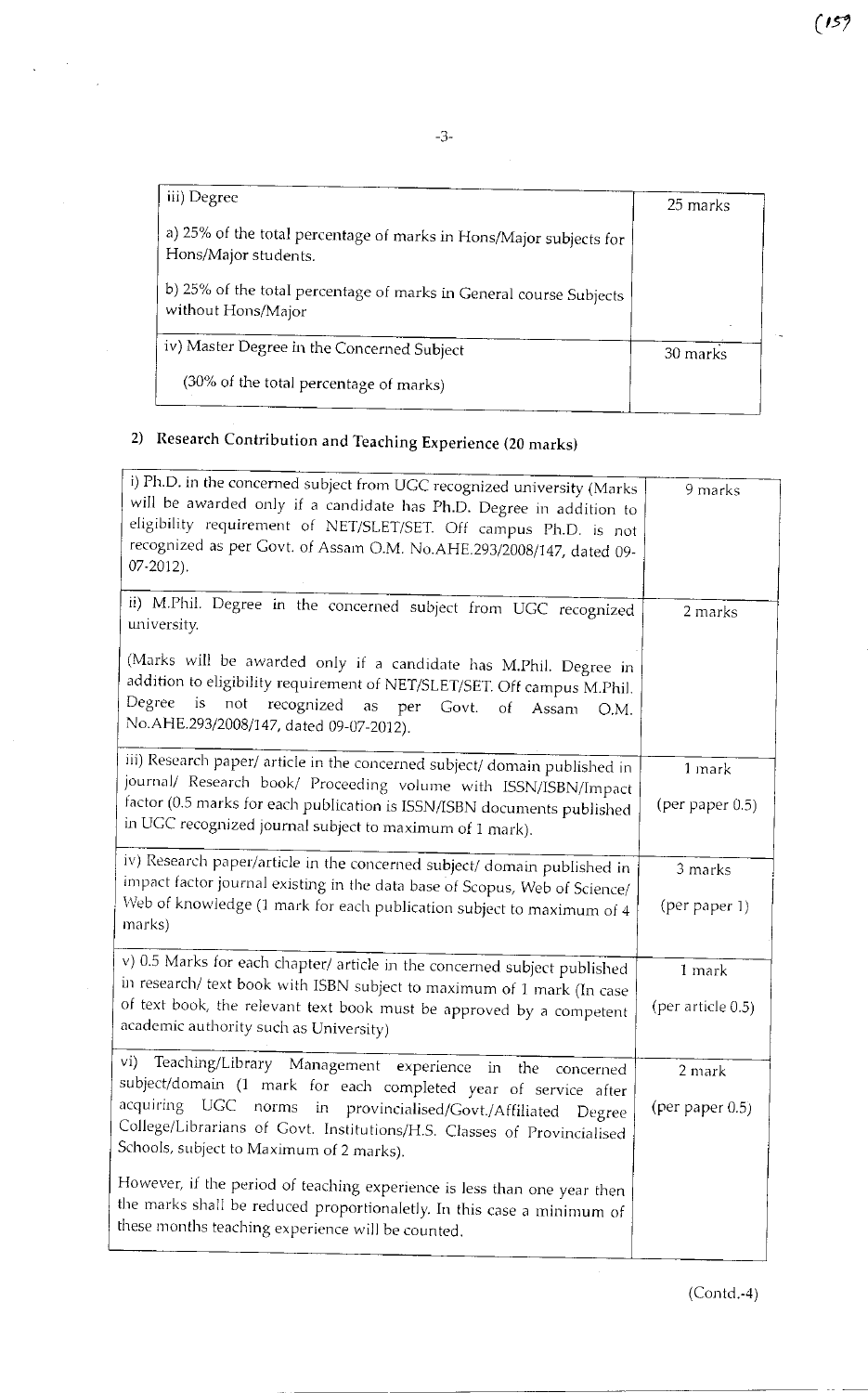$(159)$ 

| iii) Degree                                                                                | 25 marks |
|--------------------------------------------------------------------------------------------|----------|
| a) 25% of the total percentage of marks in Hons/Major subjects for<br>Hons/Major students. |          |
| b) 25% of the total percentage of marks in General course Subjects<br>without Hons/Major   |          |
| iv) Master Degree in the Concerned Subject                                                 | 30 marks |
| (30% of the total percentage of marks)                                                     |          |

# 2) Research Contribution and Teaching Experience (20 marks)

| i) Ph.D. in the concerned subject from UGC recognized university (Marks<br>will be awarded only if a candidate has Ph.D. Degree in addition to<br>eligibility requirement of NET/SLET/SET. Off campus Ph.D. is not<br>recognized as per Govt. of Assam O.M. No.AHE.293/2008/147, dated 09-<br>$07 - 2012$ ). | 9 marks            |
|--------------------------------------------------------------------------------------------------------------------------------------------------------------------------------------------------------------------------------------------------------------------------------------------------------------|--------------------|
| ii) M.Phil. Degree in the concerned subject from UGC recognized<br>university.                                                                                                                                                                                                                               | 2 marks            |
| (Marks will be awarded only if a candidate has M.Phil. Degree in<br>addition to eligibility requirement of NET/SLET/SET. Off campus M.Phil.<br>Degree<br>is<br>not<br>recognized<br>as per<br>Govt.<br>$\circ$ f<br>Assam<br>O.M.<br>No.AHE.293/2008/147, dated 09-07-2012).                                 |                    |
| iii) Research paper/ article in the concerned subject/ domain published in                                                                                                                                                                                                                                   | 1 mark             |
| journal/ Research book/ Proceeding volume with ISSN/ISBN/Impact<br>factor (0.5 marks for each publication is ISSN/ISBN documents published<br>in UGC recognized journal subject to maximum of 1 mark).                                                                                                       | (per paper $0.5$ ) |
| iv) Research paper/article in the concerned subject/ domain published in                                                                                                                                                                                                                                     | 3 marks            |
| impact factor journal existing in the data base of Scopus, Web of Science/<br>Web of knowledge (1 mark for each publication subject to maximum of 4<br>marks)                                                                                                                                                | (per paper 1)      |
| v) 0.5 Marks for each chapter/ article in the concerned subject published                                                                                                                                                                                                                                    | 1 mark             |
| in research/ text book with ISBN subject to maximum of 1 mark (In case<br>of text book, the relevant text book must be approved by a competent<br>academic authority such as University)                                                                                                                     | (per article 0.5)  |
| vi) Teaching/Library Management experience in the<br>concerned                                                                                                                                                                                                                                               | 2 mark             |
| subject/domain (1 mark for each completed year of service after<br>acquiring UGC norms in provincialised/Govt./Affiliated Degree<br>College/Librarians of Govt. Institutions/H.S. Classes of Provincialised<br>Schools, subject to Maximum of 2 marks).                                                      | (per paper 0.5)    |
| However, if the period of teaching experience is less than one year then<br>the marks shall be reduced proportionaletly. In this case a minimum of<br>these months teaching experience will be counted.                                                                                                      |                    |

 $(Cond.-4)$